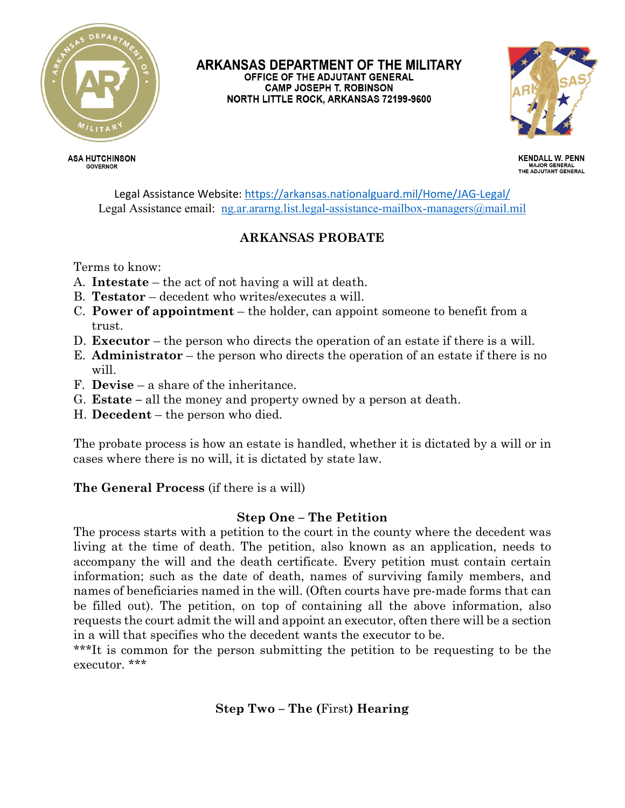

**ASA HUTCHINSON** 

**GOVERNOR** 

ARKANSAS DEPARTMENT OF THE MILITARY OFFICE OF THE ADJUTANT GENERAL **CAMP JOSEPH T. ROBINSON** NORTH LITTLE ROCK, ARKANSAS 72199-9600



**KENDALL W. PENN MAJOR GENERAL** THE ADJUTANT GENERAL

Legal Assistance Website:<https://arkansas.nationalguard.mil/Home/JAG-Legal/> Legal Assistance email: [ng.ar.ararng.list.legal-assistance-mailbox-managers@mail.mil](mailto:ng.ar.ararng.list.legal-assistance-mailbox-managers@mail.mil)

# **ARKANSAS PROBATE**

Terms to know:

- A. **Intestate** the act of not having a will at death.
- B. **Testator** decedent who writes/executes a will.
- C. **Power of appointment** the holder, can appoint someone to benefit from a trust.
- D. **Executor** the person who directs the operation of an estate if there is a will.
- E. **Administrator** the person who directs the operation of an estate if there is no will.
- F. **Devise** a share of the inheritance.
- G. **Estate –** all the money and property owned by a person at death.
- H. **Decedent** the person who died.

The probate process is how an estate is handled, whether it is dictated by a will or in cases where there is no will, it is dictated by state law.

**The General Process** (if there is a will)

# **Step One – The Petition**

The process starts with a petition to the court in the county where the decedent was living at the time of death. The petition, also known as an application, needs to accompany the will and the death certificate. Every petition must contain certain information; such as the date of death, names of surviving family members, and names of beneficiaries named in the will. (Often courts have pre-made forms that can be filled out). The petition, on top of containing all the above information, also requests the court admit the will and appoint an executor, often there will be a section in a will that specifies who the decedent wants the executor to be.

\*\*\*It is common for the person submitting the petition to be requesting to be the executor. \*\*\*

**Step Two – The (**First**) Hearing**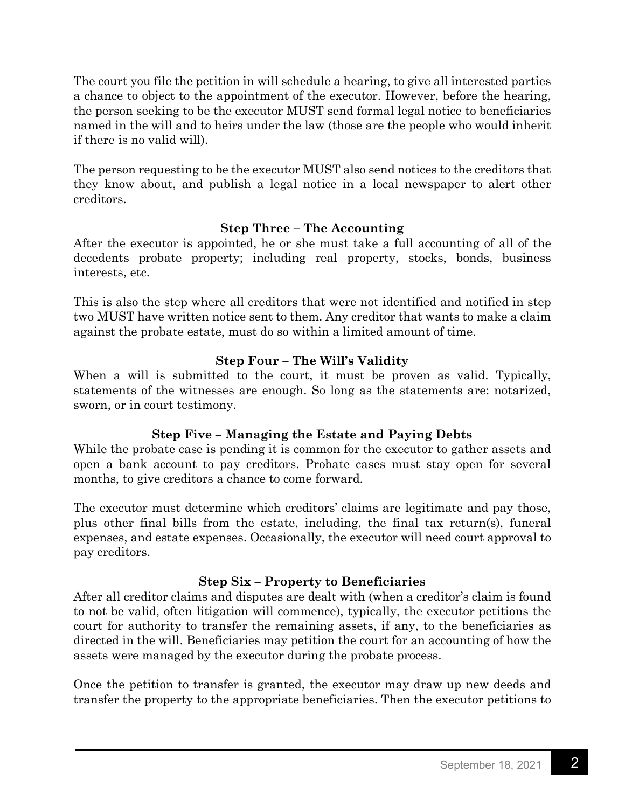The court you file the petition in will schedule a hearing, to give all interested parties a chance to object to the appointment of the executor. However, before the hearing, the person seeking to be the executor MUST send formal legal notice to beneficiaries named in the will and to heirs under the law (those are the people who would inherit if there is no valid will).

The person requesting to be the executor MUST also send notices to the creditors that they know about, and publish a legal notice in a local newspaper to alert other creditors.

#### **Step Three – The Accounting**

After the executor is appointed, he or she must take a full accounting of all of the decedents probate property; including real property, stocks, bonds, business interests, etc.

This is also the step where all creditors that were not identified and notified in step two MUST have written notice sent to them. Any creditor that wants to make a claim against the probate estate, must do so within a limited amount of time.

## **Step Four – The Will's Validity**

When a will is submitted to the court, it must be proven as valid. Typically, statements of the witnesses are enough. So long as the statements are: notarized, sworn, or in court testimony.

# **Step Five – Managing the Estate and Paying Debts**

While the probate case is pending it is common for the executor to gather assets and open a bank account to pay creditors. Probate cases must stay open for several months, to give creditors a chance to come forward.

The executor must determine which creditors' claims are legitimate and pay those, plus other final bills from the estate, including, the final tax return(s), funeral expenses, and estate expenses. Occasionally, the executor will need court approval to pay creditors.

#### **Step Six – Property to Beneficiaries**

After all creditor claims and disputes are dealt with (when a creditor's claim is found to not be valid, often litigation will commence), typically, the executor petitions the court for authority to transfer the remaining assets, if any, to the beneficiaries as directed in the will. Beneficiaries may petition the court for an accounting of how the assets were managed by the executor during the probate process.

Once the petition to transfer is granted, the executor may draw up new deeds and transfer the property to the appropriate beneficiaries. Then the executor petitions to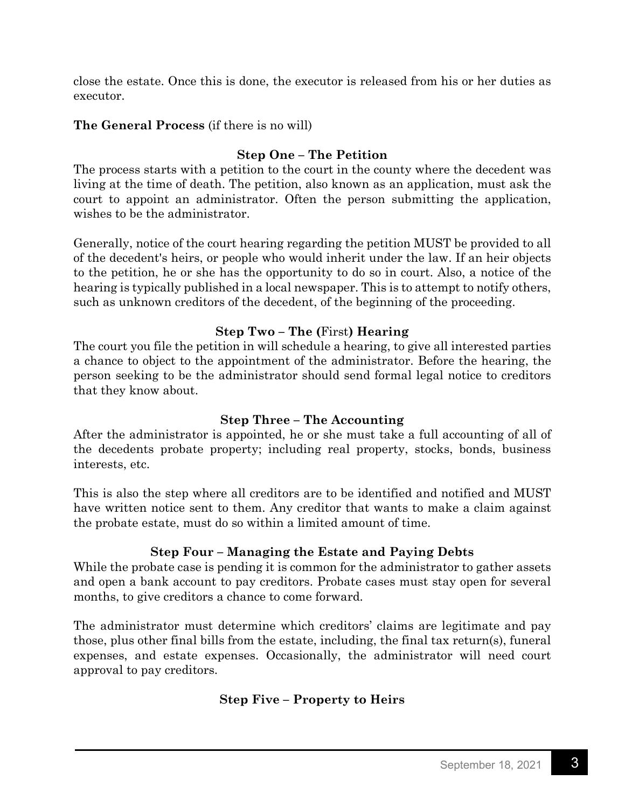close the estate. Once this is done, the executor is released from his or her duties as executor.

#### **The General Process** (if there is no will)

#### **Step One – The Petition**

The process starts with a petition to the court in the county where the decedent was living at the time of death. The petition, also known as an application, must ask the court to appoint an administrator. Often the person submitting the application, wishes to be the administrator.

Generally, notice of the court hearing regarding the petition MUST be provided to all of the decedent's heirs, or people who would inherit under the law. If an heir objects to the petition, he or she has the opportunity to do so in court. Also, a notice of the hearing is typically published in a local newspaper. This is to attempt to notify others, such as unknown creditors of the decedent, of the beginning of the proceeding.

#### **Step Two – The (**First**) Hearing**

The court you file the petition in will schedule a hearing, to give all interested parties a chance to object to the appointment of the administrator. Before the hearing, the person seeking to be the administrator should send formal legal notice to creditors that they know about.

#### **Step Three – The Accounting**

After the administrator is appointed, he or she must take a full accounting of all of the decedents probate property; including real property, stocks, bonds, business interests, etc.

This is also the step where all creditors are to be identified and notified and MUST have written notice sent to them. Any creditor that wants to make a claim against the probate estate, must do so within a limited amount of time.

#### **Step Four – Managing the Estate and Paying Debts**

While the probate case is pending it is common for the administrator to gather assets and open a bank account to pay creditors. Probate cases must stay open for several months, to give creditors a chance to come forward.

The administrator must determine which creditors' claims are legitimate and pay those, plus other final bills from the estate, including, the final tax return(s), funeral expenses, and estate expenses. Occasionally, the administrator will need court approval to pay creditors.

#### **Step Five – Property to Heirs**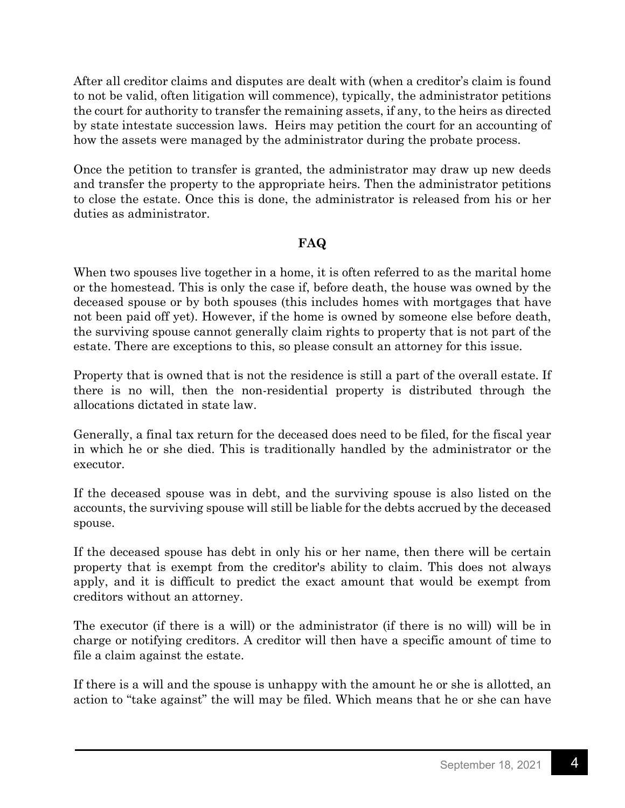After all creditor claims and disputes are dealt with (when a creditor's claim is found to not be valid, often litigation will commence), typically, the administrator petitions the court for authority to transfer the remaining assets, if any, to the heirs as directed by state intestate succession laws. Heirs may petition the court for an accounting of how the assets were managed by the administrator during the probate process.

Once the petition to transfer is granted, the administrator may draw up new deeds and transfer the property to the appropriate heirs. Then the administrator petitions to close the estate. Once this is done, the administrator is released from his or her duties as administrator.

## **FAQ**

When two spouses live together in a home, it is often referred to as the marital home or the homestead. This is only the case if, before death, the house was owned by the deceased spouse or by both spouses (this includes homes with mortgages that have not been paid off yet). However, if the home is owned by someone else before death, the surviving spouse cannot generally claim rights to property that is not part of the estate. There are exceptions to this, so please consult an attorney for this issue.

Property that is owned that is not the residence is still a part of the overall estate. If there is no will, then the non-residential property is distributed through the allocations dictated in state law.

Generally, a final tax return for the deceased does need to be filed, for the fiscal year in which he or she died. This is traditionally handled by the administrator or the executor.

If the deceased spouse was in debt, and the surviving spouse is also listed on the accounts, the surviving spouse will still be liable for the debts accrued by the deceased spouse.

If the deceased spouse has debt in only his or her name, then there will be certain property that is exempt from the creditor's ability to claim. This does not always apply, and it is difficult to predict the exact amount that would be exempt from creditors without an attorney.

The executor (if there is a will) or the administrator (if there is no will) will be in charge or notifying creditors. A creditor will then have a specific amount of time to file a claim against the estate.

If there is a will and the spouse is unhappy with the amount he or she is allotted, an action to "take against" the will may be filed. Which means that he or she can have